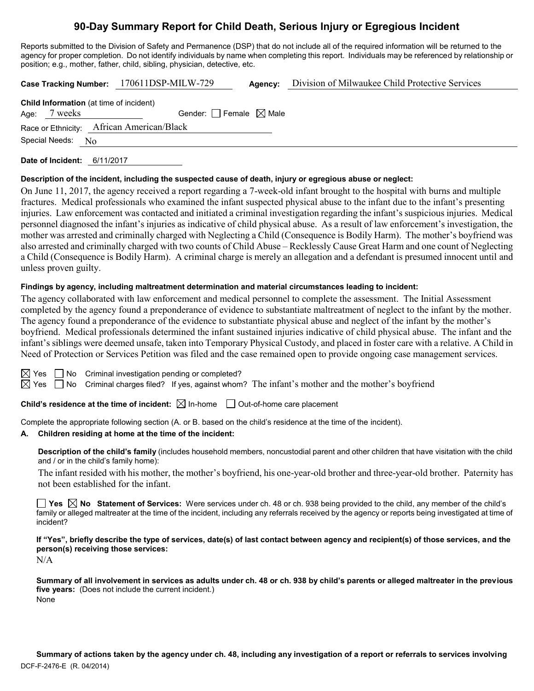# **90-Day Summary Report for Child Death, Serious Injury or Egregious Incident**

Reports submitted to the Division of Safety and Permanence (DSP) that do not include all of the required information will be returned to the agency for proper completion. Do not identify individuals by name when completing this report. Individuals may be referenced by relationship or position; e.g., mother, father, child, sibling, physician, detective, etc.

**Case Tracking Number:** 170611DSP-MILW-729 **Agency:** Division of Milwaukee Child Protective Services

|                      |              | <b>Child Information</b> (at time of incident) |
|----------------------|--------------|------------------------------------------------|
|                      | Age: 7 weeks | Gender: Female $\boxtimes$ Male                |
|                      |              | Race or Ethnicity: African American/Black      |
| Special Needs: $N_0$ |              |                                                |
|                      |              |                                                |

**Date of Incident:** 6/11/2017

### **Description of the incident, including the suspected cause of death, injury or egregious abuse or neglect:**

On June 11, 2017, the agency received a report regarding a 7-week-old infant brought to the hospital with burns and multiple fractures. Medical professionals who examined the infant suspected physical abuse to the infant due to the infant's presenting injuries. Law enforcement was contacted and initiated a criminal investigation regarding the infant's suspicious injuries. Medical personnel diagnosed the infant's injuries as indicative of child physical abuse. As a result of law enforcement's investigation, the mother was arrested and criminally charged with Neglecting a Child (Consequence is Bodily Harm). The mother's boyfriend was also arrested and criminally charged with two counts of Child Abuse – Recklessly Cause Great Harm and one count of Neglecting a Child (Consequence is Bodily Harm). A criminal charge is merely an allegation and a defendant is presumed innocent until and unless proven guilty.

# **Findings by agency, including maltreatment determination and material circumstances leading to incident:**

The agency collaborated with law enforcement and medical personnel to complete the assessment. The Initial Assessment completed by the agency found a preponderance of evidence to substantiate maltreatment of neglect to the infant by the mother. The agency found a preponderance of the evidence to substantiate physical abuse and neglect of the infant by the mother's boyfriend. Medical professionals determined the infant sustained injuries indicative of child physical abuse. The infant and the infant's siblings were deemed unsafe, taken into Temporary Physical Custody, and placed in foster care with a relative. A Child in Need of Protection or Services Petition was filed and the case remained open to provide ongoing case management services.

| × |
|---|
|   |

 $\Box$  No Criminal investigation pending or completed?

 $\boxtimes$  Yes  $\Box$  No Criminal charges filed? If yes, against whom? The infant's mother and the mother's boyfriend

**Child's residence at the time of incident:**  $\boxtimes$  In-home  $\Box$  Out-of-home care placement

Complete the appropriate following section (A. or B. based on the child's residence at the time of the incident).

#### **A. Children residing at home at the time of the incident:**

**Description of the child's family** (includes household members, noncustodial parent and other children that have visitation with the child and / or in the child's family home):

The infant resided with his mother, the mother's boyfriend, his one-year-old brother and three-year-old brother. Paternity has not been established for the infant.

■ Yes **No** Statement of Services: Were services under ch. 48 or ch. 938 being provided to the child, any member of the child's family or alleged maltreater at the time of the incident, including any referrals received by the agency or reports being investigated at time of incident?

**If "Yes", briefly describe the type of services, date(s) of last contact between agency and recipient(s) of those services, and the person(s) receiving those services:**

N/A

**Summary of all involvement in services as adults under ch. 48 or ch. 938 by child's parents or alleged maltreater in the previous five years:** (Does not include the current incident.) None